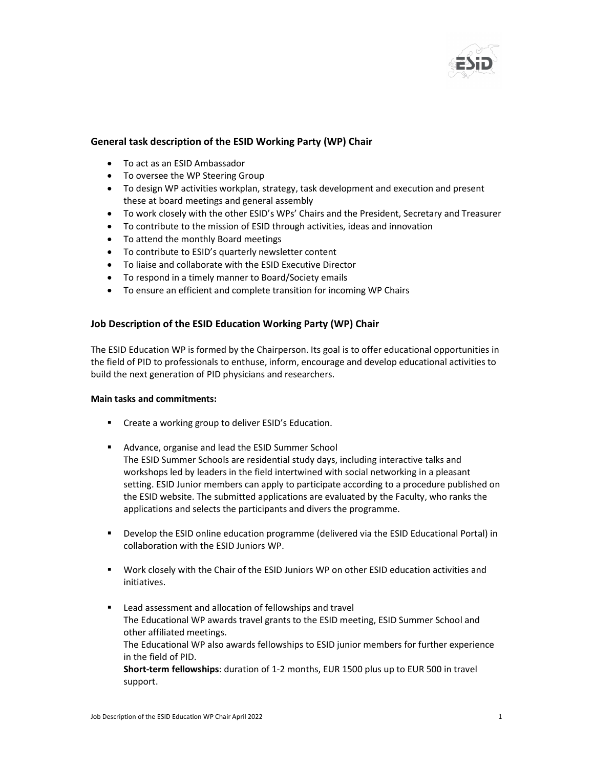

## General task description of the ESID Working Party (WP) Chair

- To act as an ESID Ambassador
- To oversee the WP Steering Group
- To design WP activities workplan, strategy, task development and execution and present these at board meetings and general assembly
- To work closely with the other ESID's WPs' Chairs and the President, Secretary and Treasurer
- To contribute to the mission of ESID through activities, ideas and innovation
- To attend the monthly Board meetings
- To contribute to ESID's quarterly newsletter content
- To liaise and collaborate with the ESID Executive Director
- To respond in a timely manner to Board/Society emails
- To ensure an efficient and complete transition for incoming WP Chairs

## Job Description of the ESID Education Working Party (WP) Chair

The ESID Education WP is formed by the Chairperson. Its goal is to offer educational opportunities in the field of PID to professionals to enthuse, inform, encourage and develop educational activities to build the next generation of PID physicians and researchers.

## Main tasks and commitments:

- **EXECTE:** Create a working group to deliver ESID's Education.
- **Advance, organise and lead the ESID Summer School** The ESID Summer Schools are residential study days, including interactive talks and workshops led by leaders in the field intertwined with social networking in a pleasant setting. ESID Junior members can apply to participate according to a procedure published on the ESID website. The submitted applications are evaluated by the Faculty, who ranks the applications and selects the participants and divers the programme.
- Develop the ESID online education programme (delivered via the ESID Educational Portal) in collaboration with the ESID Juniors WP.
- Work closely with the Chair of the ESID Juniors WP on other ESID education activities and initiatives.
- Lead assessment and allocation of fellowships and travel The Educational WP awards travel grants to the ESID meeting, ESID Summer School and other affiliated meetings. The Educational WP also awards fellowships to ESID junior members for further experience in the field of PID. Short-term fellowships: duration of 1-2 months, EUR 1500 plus up to EUR 500 in travel support.